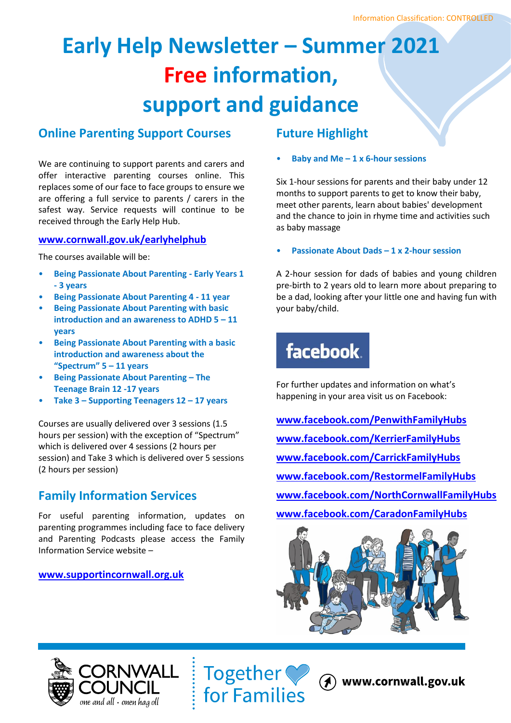# **Early Help Newsletter – Summer 2021 Free information, support and guidance**

## **Online Parenting Support Courses**

We are continuing to support parents and carers and offer interactive parenting courses online. This replaces some of our face to face groups to ensure we are offering a full service to parents / carers in the safest way. Service requests will continue to be received through the Early Help Hub.

## **[www.cornwall.gov.uk/earlyhelphub](http://www.cornwall.gov.uk/earlyhelphub)**

The courses available will be:

- **Being Passionate About Parenting - Early Years 1 - 3 years**
- **Being Passionate About Parenting 4 - 11 year**
- **Being Passionate About Parenting with basic introduction and an awareness to ADHD 5 – 11 years**
- **Being Passionate About Parenting with a basic introduction and awareness about the "Spectrum" 5 – 11 years**
- **Being Passionate About Parenting – The Teenage Brain 12 -17 years**
- **Take 3 – Supporting Teenagers 12 – 17 years**

Courses are usually delivered over 3 sessions (1.5 hours per session) with the exception of "Spectrum" which is delivered over 4 sessions (2 hours per session) and Take 3 which is delivered over 5 sessions (2 hours per session)

## **Family Information Services**

For useful parenting information, updates on parenting programmes including face to face delivery and Parenting Podcasts please access the Family Information Service website –

## **[www.supportincornwall.org.uk](http://www.supportincornwall.org.uk/)**

## **Future Highlight**

• **Baby and Me – 1 x 6-hour sessions**

Six 1-hour sessions for parents and their baby under 12 months to support parents to get to know their baby, meet other parents, learn about babies' development and the chance to join in rhyme time and activities such as baby massage

## • **Passionate About Dads – 1 x 2-hour session**

A 2-hour session for dads of babies and young children pre-birth to 2 years old to learn more about preparing to be a dad, looking after your little one and having fun with your baby/child.

## **facebook**

For further updates and information on what's happening in your area visit us on Facebook:

**[www.facebook.com/PenwithFamilyHubs](http://www.facebook.com/PenwithFamilyHubs/) [www.facebook.com/KerrierFamilyHubs](http://www.facebook.com/KerrierFamilyHubs/) [www.facebook.com/CarrickFamilyHubs](http://www.facebook.com/CarrickFamilyHubs) [www.facebook.com/RestormelFamilyHubs](http://www.facebook.com/RestormelFamilyHubs) [www.facebook.com/NorthCornwallFamilyHubs](http://www.facebook.com/NorthCornwallFamilyHubs) [www.facebook.com/CaradonFamilyHubs](http://www.facebook.com/CaradonFamilyHubs)**





(A) www.cornwall.gov.uk